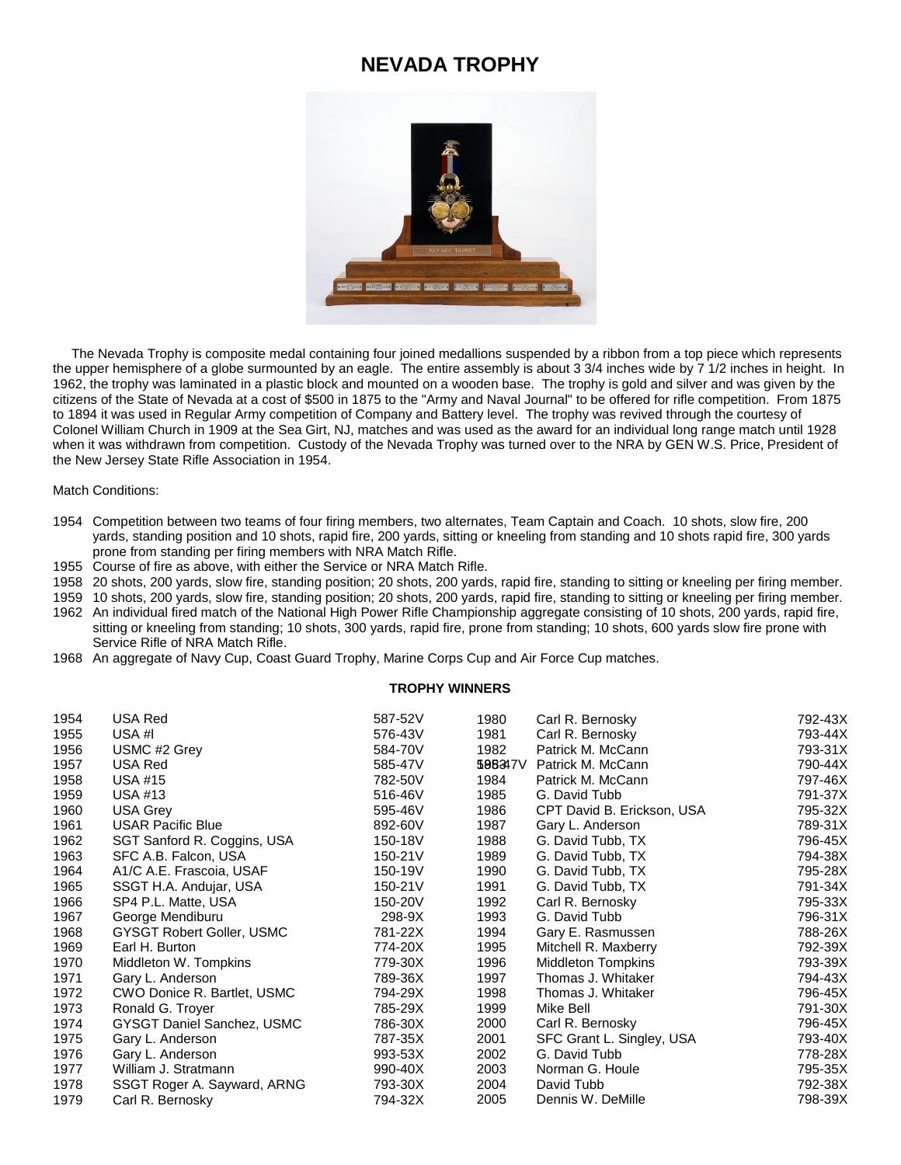## **NEVADA TROPHY**



 The Nevada Trophy is composite medal containing four joined medallions suspended by a ribbon from a top piece which represents the upper hemisphere of a globe surmounted by an eagle. The entire assembly is about 3 3/4 inches wide by 7 1/2 inches in height. In 1962, the trophy was laminated in a plastic block and mounted on a wooden base. The trophy is gold and silver and was given by the citizens of the State of Nevada at a cost of \$500 in 1875 to the "Army and Naval Journal" to be offered for rifle competition. From 1875 to 1894 it was used in Regular Army competition of Company and Battery level. The trophy was revived through the courtesy of Colonel William Church in 1909 at the Sea Girt, NJ, matches and was used as the award for an individual long range match until 1928 when it was withdrawn from competition. Custody of the Nevada Trophy was turned over to the NRA by GEN W.S. Price, President of the New Jersey State Rifle Association in 1954.

Match Conditions:

- Competition between two teams of four firing members, two alternates, Team Captain and Coach. 10 shots, slow fire, 200 yards, standing position and 10 shots, rapid fire, 200 yards, sitting or kneeling from standing and 10 shots rapid fire, 300 yards prone from standing per firing members with NRA Match Rifle.
- Course of fire as above, with either the Service or NRA Match Rifle.
- 20 shots, 200 yards, slow fire, standing position; 20 shots, 200 yards, rapid fire, standing to sitting or kneeling per firing member.
- 10 shots, 200 yards, slow fire, standing position; 20 shots, 200 yards, rapid fire, standing to sitting or kneeling per firing member.
- An individual fired match of the National High Power Rifle Championship aggregate consisting of 10 shots, 200 yards, rapid fire, sitting or kneeling from standing; 10 shots, 300 yards, rapid fire, prone from standing; 10 shots, 600 yards slow fire prone with Service Rifle of NRA Match Rifle.
- An aggregate of Navy Cup, Coast Guard Trophy, Marine Corps Cup and Air Force Cup matches.

## **TROPHY WINNERS**

| 1954 | USA Red                           | 587-52V | 1980    | Carl R. Bernosky           | 792-43X |
|------|-----------------------------------|---------|---------|----------------------------|---------|
| 1955 | USA #I                            | 576-43V | 1981    | Carl R. Bernosky           | 793-44X |
| 1956 | USMC #2 Grey                      | 584-70V | 1982    | Patrick M. McCann          | 793-31X |
| 1957 | USA Red                           | 585-47V | 598347V | Patrick M. McCann          | 790-44X |
| 1958 | USA #15                           | 782-50V | 1984    | Patrick M. McCann          | 797-46X |
| 1959 | USA #13                           | 516-46V | 1985    | G. David Tubb              | 791-37X |
| 1960 | <b>USA Grey</b>                   | 595-46V | 1986    | CPT David B. Erickson, USA | 795-32X |
| 1961 | <b>USAR Pacific Blue</b>          | 892-60V | 1987    | Gary L. Anderson           | 789-31X |
| 1962 | SGT Sanford R. Coggins, USA       | 150-18V | 1988    | G. David Tubb, TX          | 796-45X |
| 1963 | SFC A.B. Falcon, USA              | 150-21V | 1989    | G. David Tubb, TX          | 794-38X |
| 1964 | A1/C A.E. Frascoia, USAF          | 150-19V | 1990    | G. David Tubb, TX          | 795-28X |
| 1965 | SSGT H.A. Andujar, USA            | 150-21V | 1991    | G. David Tubb, TX          | 791-34X |
| 1966 | SP4 P.L. Matte, USA               | 150-20V | 1992    | Carl R. Bernosky           | 795-33X |
| 1967 | George Mendiburu                  | 298-9X  | 1993    | G. David Tubb              | 796-31X |
| 1968 | GYSGT Robert Goller, USMC         | 781-22X | 1994    | Gary E. Rasmussen          | 788-26X |
| 1969 | Earl H. Burton                    | 774-20X | 1995    | Mitchell R. Maxberry       | 792-39X |
| 1970 | Middleton W. Tompkins             | 779-30X | 1996    | Middleton Tompkins         | 793-39X |
| 1971 | Gary L. Anderson                  | 789-36X | 1997    | Thomas J. Whitaker         | 794-43X |
| 1972 | CWO Donice R. Bartlet, USMC       | 794-29X | 1998    | Thomas J. Whitaker         | 796-45X |
| 1973 | Ronald G. Troyer                  | 785-29X | 1999    | Mike Bell                  | 791-30X |
| 1974 | <b>GYSGT Daniel Sanchez, USMC</b> | 786-30X | 2000    | Carl R. Bernosky           | 796-45X |
| 1975 | Gary L. Anderson                  | 787-35X | 2001    | SFC Grant L. Singley, USA  | 793-40X |
| 1976 | Gary L. Anderson                  | 993-53X | 2002    | G. David Tubb              | 778-28X |
| 1977 | William J. Stratmann              | 990-40X | 2003    | Norman G. Houle            | 795-35X |
| 1978 | SSGT Roger A. Sayward, ARNG       | 793-30X | 2004    | David Tubb                 | 792-38X |
| 1979 | Carl R. Bernosky                  | 794-32X | 2005    | Dennis W. DeMille          | 798-39X |